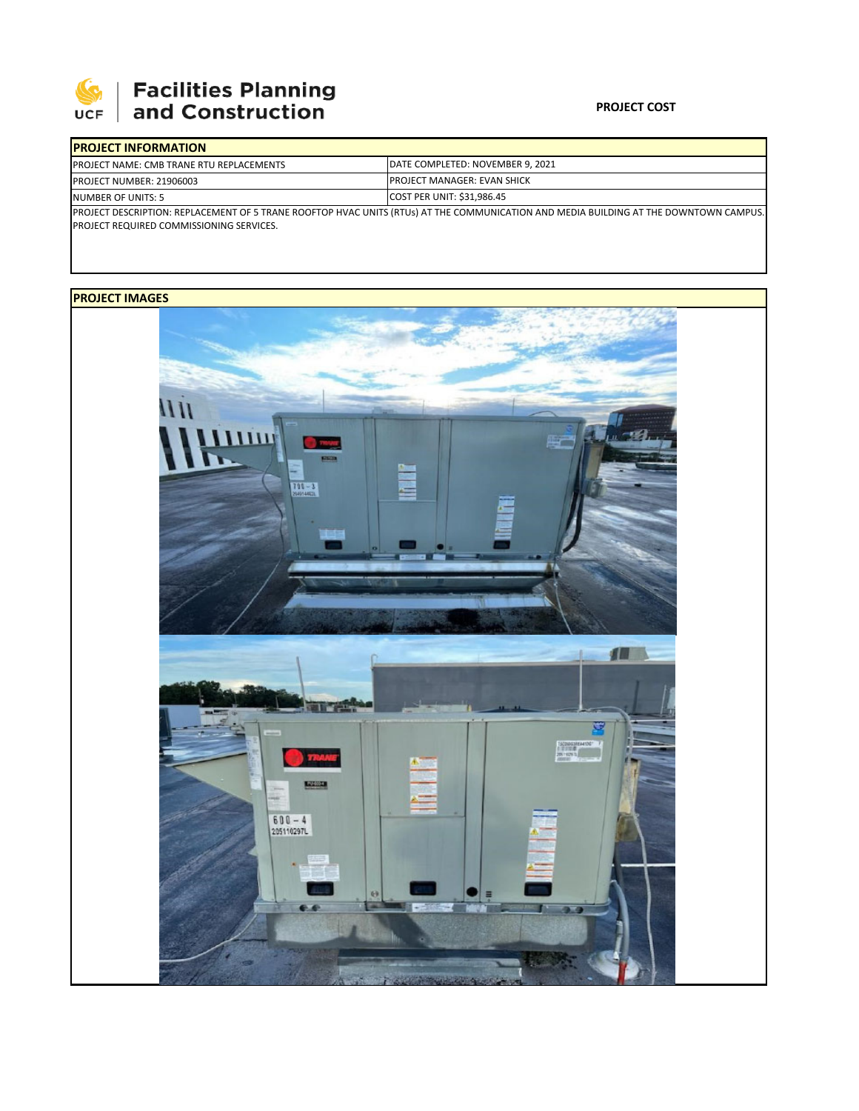

# | Facilities Planning<br>| and Construction

### **PROJECT COST**

|                    | <b>PROJECT INFORMATION</b>                       |                                                                                                                                       |  |  |  |
|--------------------|--------------------------------------------------|---------------------------------------------------------------------------------------------------------------------------------------|--|--|--|
|                    | <b>IPROJECT NAME: CMB TRANE RTU REPLACEMENTS</b> | DATE COMPLETED: NOVEMBER 9, 2021                                                                                                      |  |  |  |
|                    | PROJECT NUMBER: 21906003                         | <b>IPROJECT MANAGER: EVAN SHICK</b>                                                                                                   |  |  |  |
| NUMBER OF UNITS: 5 |                                                  | <b>COST PER UNIT: \$31,986.45</b>                                                                                                     |  |  |  |
|                    |                                                  | PROJECT DESCRIPTION: REPLACEMENT OF 5 TRANE ROOFTOP HVAC UNITS (RTUs) AT THE COMMUNICATION AND MEDIA BUILDING AT THE DOWNTOWN CAMPUS. |  |  |  |

PROJECT REQUIRED COMMISSIONING SERVICES.

## **PROJECT IMAGES**